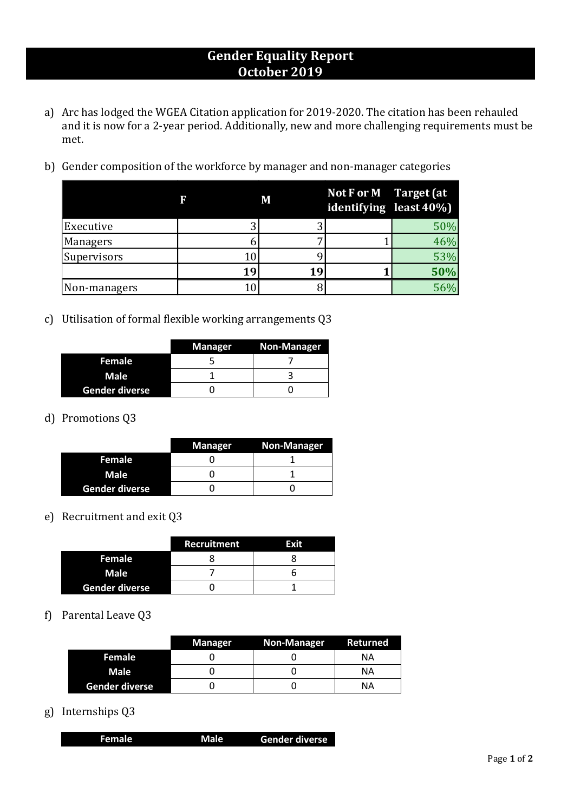## **Gender Equality Report October 2019**

- a) Arc has lodged the WGEA Citation application for 2019-2020. The citation has been rehauled and it is now for a 2-year period. Additionally, new and more challenging requirements must be met.
- b) Gender composition of the workforce by manager and non-manager categories

|              | F  | M  | Not $F$ or $M$ Target (at<br>identifying least 40%) |     |
|--------------|----|----|-----------------------------------------------------|-----|
| Executive    |    |    |                                                     | 50% |
| Managers     |    |    |                                                     | 46% |
| Supervisors  |    |    |                                                     | 53% |
|              | 19 | 19 |                                                     | 50% |
| Non-managers |    |    |                                                     | 56% |

c) Utilisation of formal flexible working arrangements Q3

|                | <b>Manager</b> | Non-Manager |
|----------------|----------------|-------------|
| Female         |                |             |
| Male           |                |             |
| Gender diverse |                |             |

### d) Promotions Q3

|                | <b>Manager</b> | <b>Non-Manager</b> |
|----------------|----------------|--------------------|
| Female         |                |                    |
| Male           |                |                    |
| Gender diverse |                |                    |

#### e) Recruitment and exit Q3

|                       | <b>Recruitment</b> | Exit |
|-----------------------|--------------------|------|
| Female                |                    |      |
| <b>Male</b>           |                    |      |
| <b>Gender diverse</b> |                    |      |

#### f) Parental Leave Q3

|                       | <b>Manager</b> | <b>Non-Manager</b> | Returned |
|-----------------------|----------------|--------------------|----------|
| Female                |                |                    | ΝA       |
| <b>Male</b>           |                |                    | ΝA       |
| <b>Gender diverse</b> |                |                    | ΝA       |

g) Internships Q3

|  | Female | Male | Gender diverse |
|--|--------|------|----------------|
|--|--------|------|----------------|